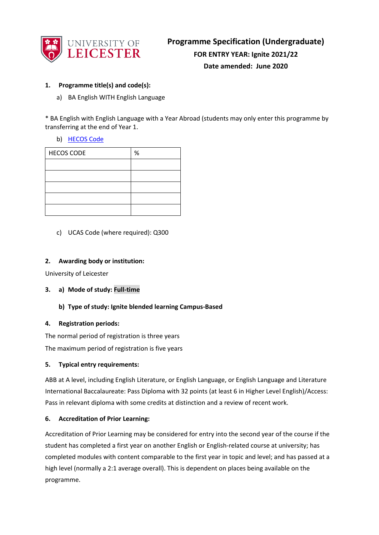

## **1. Programme title(s) and code(s):**

a) BA English WITH English Language

\* BA English with English Language with a Year Abroad (students may only enter this programme by transferring at the end of Year 1.

b) [HECOS Code](https://www.hesa.ac.uk/innovation/hecos)

| <b>HECOS CODE</b> | % |
|-------------------|---|
|                   |   |
|                   |   |
|                   |   |
|                   |   |
|                   |   |

c) UCAS Code (where required): Q300

#### **2. Awarding body or institution:**

University of Leicester

- **3. a) Mode of study: Full-time**
	- **b) Type of study: Ignite blended learning Campus-Based**

#### **4. Registration periods:**

The normal period of registration is three years The maximum period of registration is five years

## **5. Typical entry requirements:**

ABB at A level, including English Literature, or English Language, or English Language and Literature International Baccalaureate: Pass Diploma with 32 points (at least 6 in Higher Level English)/Access: Pass in relevant diploma with some credits at distinction and a review of recent work.

## **6. Accreditation of Prior Learning:**

Accreditation of Prior Learning may be considered for entry into the second year of the course if the student has completed a first year on another English or English-related course at university; has completed modules with content comparable to the first year in topic and level; and has passed at a high level (normally a 2:1 average overall). This is dependent on places being available on the programme.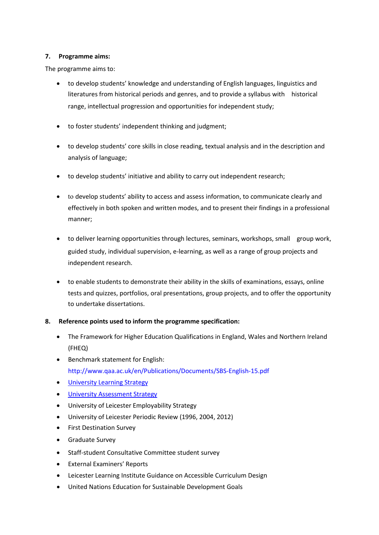#### **7. Programme aims:**

The programme aims to:

- to develop students' knowledge and understanding of English languages, linguistics and literatures from historical periods and genres, and to provide a syllabus with historical range, intellectual progression and opportunities for independent study;
- to foster students' independent thinking and judgment;
- to develop students' core skills in close reading, textual analysis and in the description and analysis of language;
- to develop students' initiative and ability to carry out independent research;
- to develop students' ability to access and assess information, to communicate clearly and effectively in both spoken and written modes, and to present their findings in a professional manner;
- to deliver learning opportunities through lectures, seminars, workshops, small group work, guided study, individual supervision, e-learning, as well as a range of group projects and independent research.
- to enable students to demonstrate their ability in the skills of examinations, essays, online tests and quizzes, portfolios, oral presentations, group projects, and to offer the opportunity to undertake dissertations.

## **8. Reference points used to inform the programme specification:**

- The Framework for Higher Education Qualifications in England, Wales and Northern Ireland (FHEQ)
- Benchmark statement for English: http://www.qaa.ac.uk/en/Publications/Documents/SBS-English-15.pdf
- [University Learning Strategy](http://www2.le.ac.uk/offices/sas2/quality/learnteach)
- [University Assessment Strategy](http://www2.le.ac.uk/offices/sas2/quality/learnteach)
- University of Leicester Employability Strategy
- University of Leicester Periodic Review (1996, 2004, 2012)
- First Destination Survey
- Graduate Survey
- Staff-student Consultative Committee student survey
- External Examiners' Reports
- Leicester Learning Institute Guidance on Accessible Curriculum Design
- United Nations Education for Sustainable Development Goals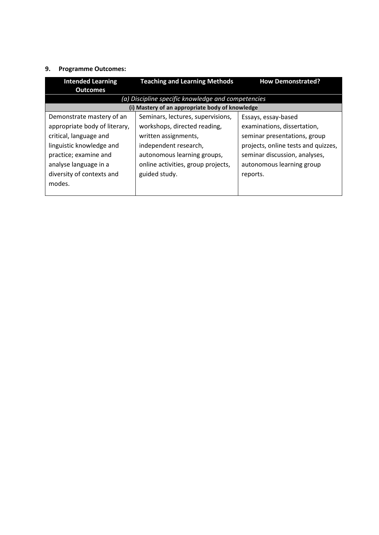# **9. Programme Outcomes:**

| <b>Intended Learning</b>      | <b>Teaching and Learning Methods</b>               | <b>How Demonstrated?</b>            |
|-------------------------------|----------------------------------------------------|-------------------------------------|
| <b>Outcomes</b>               |                                                    |                                     |
|                               | (a) Discipline specific knowledge and competencies |                                     |
|                               | (i) Mastery of an appropriate body of knowledge    |                                     |
| Demonstrate mastery of an     | Seminars, lectures, supervisions,                  | Essays, essay-based                 |
| appropriate body of literary, | workshops, directed reading,                       | examinations, dissertation,         |
| critical, language and        | written assignments,                               | seminar presentations, group        |
| linguistic knowledge and      | independent research,                              | projects, online tests and quizzes, |
| practice; examine and         | autonomous learning groups,                        | seminar discussion, analyses,       |
| analyse language in a         | online activities, group projects,                 | autonomous learning group           |
| diversity of contexts and     | guided study.                                      | reports.                            |
| modes.                        |                                                    |                                     |
|                               |                                                    |                                     |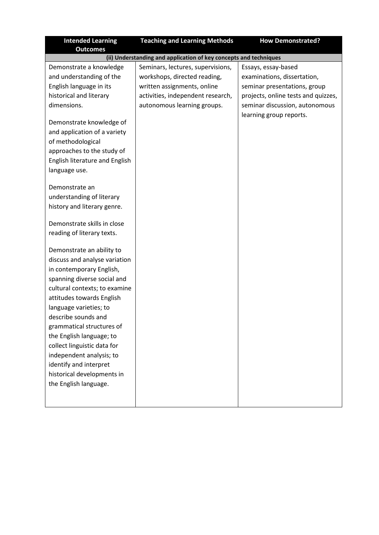| <b>Intended Learning</b><br><b>Outcomes</b>                                                                                                                                                                                                                                                                                                                                                                                               | <b>Teaching and Learning Methods</b>                                                                                                                                 | <b>How Demonstrated?</b>                                                                                                                                                               |
|-------------------------------------------------------------------------------------------------------------------------------------------------------------------------------------------------------------------------------------------------------------------------------------------------------------------------------------------------------------------------------------------------------------------------------------------|----------------------------------------------------------------------------------------------------------------------------------------------------------------------|----------------------------------------------------------------------------------------------------------------------------------------------------------------------------------------|
|                                                                                                                                                                                                                                                                                                                                                                                                                                           | (ii) Understanding and application of key concepts and techniques                                                                                                    |                                                                                                                                                                                        |
| Demonstrate a knowledge<br>and understanding of the<br>English language in its<br>historical and literary<br>dimensions.<br>Demonstrate knowledge of<br>and application of a variety<br>of methodological<br>approaches to the study of<br>English literature and English<br>language use.<br>Demonstrate an                                                                                                                              | Seminars, lectures, supervisions,<br>workshops, directed reading,<br>written assignments, online<br>activities, independent research,<br>autonomous learning groups. | Essays, essay-based<br>examinations, dissertation,<br>seminar presentations, group<br>projects, online tests and quizzes,<br>seminar discussion, autonomous<br>learning group reports. |
| understanding of literary<br>history and literary genre.                                                                                                                                                                                                                                                                                                                                                                                  |                                                                                                                                                                      |                                                                                                                                                                                        |
| Demonstrate skills in close<br>reading of literary texts.                                                                                                                                                                                                                                                                                                                                                                                 |                                                                                                                                                                      |                                                                                                                                                                                        |
| Demonstrate an ability to<br>discuss and analyse variation<br>in contemporary English,<br>spanning diverse social and<br>cultural contexts; to examine<br>attitudes towards English<br>language varieties; to<br>describe sounds and<br>grammatical structures of<br>the English language; to<br>collect linguistic data for<br>independent analysis; to<br>identify and interpret<br>historical developments in<br>the English language. |                                                                                                                                                                      |                                                                                                                                                                                        |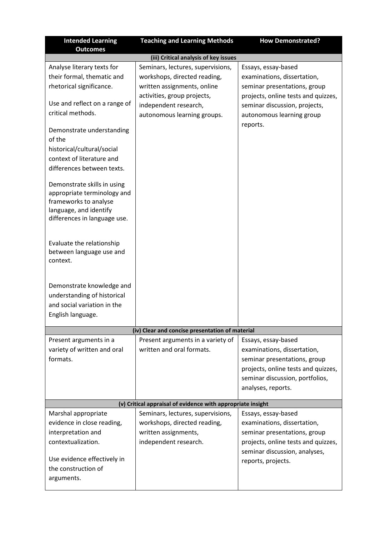| <b>Intended Learning</b><br><b>Outcomes</b>                                                                                                                             | <b>Teaching and Learning Methods</b>                                                                                                                                                    | <b>How Demonstrated?</b>                                                                                                                                                                            |
|-------------------------------------------------------------------------------------------------------------------------------------------------------------------------|-----------------------------------------------------------------------------------------------------------------------------------------------------------------------------------------|-----------------------------------------------------------------------------------------------------------------------------------------------------------------------------------------------------|
|                                                                                                                                                                         | (iii) Critical analysis of key issues                                                                                                                                                   |                                                                                                                                                                                                     |
| Analyse literary texts for<br>their formal, thematic and<br>rhetorical significance.<br>Use and reflect on a range of<br>critical methods.<br>Demonstrate understanding | Seminars, lectures, supervisions,<br>workshops, directed reading,<br>written assignments, online<br>activities, group projects,<br>independent research,<br>autonomous learning groups. | Essays, essay-based<br>examinations, dissertation,<br>seminar presentations, group<br>projects, online tests and quizzes,<br>seminar discussion, projects,<br>autonomous learning group<br>reports. |
| of the<br>historical/cultural/social<br>context of literature and<br>differences between texts.                                                                         |                                                                                                                                                                                         |                                                                                                                                                                                                     |
| Demonstrate skills in using<br>appropriate terminology and<br>frameworks to analyse<br>language, and identify<br>differences in language use.                           |                                                                                                                                                                                         |                                                                                                                                                                                                     |
| Evaluate the relationship<br>between language use and<br>context.                                                                                                       |                                                                                                                                                                                         |                                                                                                                                                                                                     |
| Demonstrate knowledge and<br>understanding of historical<br>and social variation in the<br>English language.                                                            |                                                                                                                                                                                         |                                                                                                                                                                                                     |
|                                                                                                                                                                         | (iv) Clear and concise presentation of material                                                                                                                                         |                                                                                                                                                                                                     |
| Present arguments in a<br>variety of written and oral<br>formats.                                                                                                       | Present arguments in a variety of<br>written and oral formats.                                                                                                                          | Essays, essay-based<br>examinations, dissertation,<br>seminar presentations, group<br>projects, online tests and quizzes,<br>seminar discussion, portfolios,<br>analyses, reports.                  |
| (v) Critical appraisal of evidence with appropriate insight                                                                                                             |                                                                                                                                                                                         |                                                                                                                                                                                                     |
| Marshal appropriate<br>evidence in close reading,<br>interpretation and<br>contextualization.<br>Use evidence effectively in<br>the construction of<br>arguments.       | Seminars, lectures, supervisions,<br>workshops, directed reading,<br>written assignments,<br>independent research.                                                                      | Essays, essay-based<br>examinations, dissertation,<br>seminar presentations, group<br>projects, online tests and quizzes,<br>seminar discussion, analyses,<br>reports, projects.                    |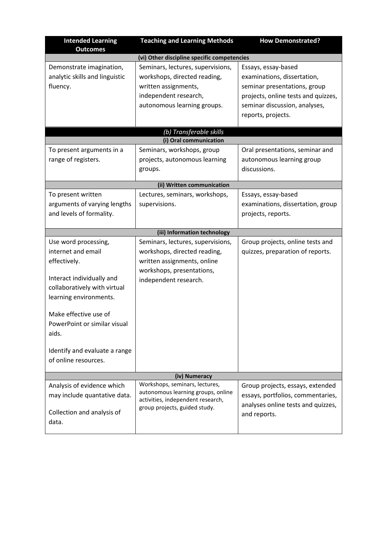| <b>Intended Learning</b><br><b>Outcomes</b>                                                                                                                                                                                                                                  | <b>Teaching and Learning Methods</b>                                                                                                                   | <b>How Demonstrated?</b>                                                                                                                                                         |  |
|------------------------------------------------------------------------------------------------------------------------------------------------------------------------------------------------------------------------------------------------------------------------------|--------------------------------------------------------------------------------------------------------------------------------------------------------|----------------------------------------------------------------------------------------------------------------------------------------------------------------------------------|--|
|                                                                                                                                                                                                                                                                              | (vi) Other discipline specific competencies                                                                                                            |                                                                                                                                                                                  |  |
| Demonstrate imagination,<br>analytic skills and linguistic<br>fluency.                                                                                                                                                                                                       | Seminars, lectures, supervisions,<br>workshops, directed reading,<br>written assignments,<br>independent research,<br>autonomous learning groups.      | Essays, essay-based<br>examinations, dissertation,<br>seminar presentations, group<br>projects, online tests and quizzes,<br>seminar discussion, analyses,<br>reports, projects. |  |
|                                                                                                                                                                                                                                                                              | (b) Transferable skills                                                                                                                                |                                                                                                                                                                                  |  |
|                                                                                                                                                                                                                                                                              | (i) Oral communication                                                                                                                                 |                                                                                                                                                                                  |  |
| To present arguments in a<br>range of registers.                                                                                                                                                                                                                             | Seminars, workshops, group<br>projects, autonomous learning<br>groups.                                                                                 | Oral presentations, seminar and<br>autonomous learning group<br>discussions.                                                                                                     |  |
|                                                                                                                                                                                                                                                                              | (ii) Written communication                                                                                                                             |                                                                                                                                                                                  |  |
| To present written<br>arguments of varying lengths<br>and levels of formality.                                                                                                                                                                                               | Lectures, seminars, workshops,<br>supervisions.                                                                                                        | Essays, essay-based<br>examinations, dissertation, group<br>projects, reports.                                                                                                   |  |
|                                                                                                                                                                                                                                                                              | (iii) Information technology                                                                                                                           |                                                                                                                                                                                  |  |
| Use word processing,<br>internet and email<br>effectively.<br>Interact individually and<br>collaboratively with virtual<br>learning environments.<br>Make effective use of<br>PowerPoint or similar visual<br>aids.<br>Identify and evaluate a range<br>of online resources. | Seminars, lectures, supervisions,<br>workshops, directed reading,<br>written assignments, online<br>workshops, presentations,<br>independent research. | Group projects, online tests and<br>quizzes, preparation of reports.                                                                                                             |  |
| (iv) Numeracy                                                                                                                                                                                                                                                                |                                                                                                                                                        |                                                                                                                                                                                  |  |
| Analysis of evidence which<br>may include quantative data.<br>Collection and analysis of<br>data.                                                                                                                                                                            | Workshops, seminars, lectures,<br>autonomous learning groups, online<br>activities, independent research,<br>group projects, guided study.             | Group projects, essays, extended<br>essays, portfolios, commentaries,<br>analyses online tests and quizzes,<br>and reports.                                                      |  |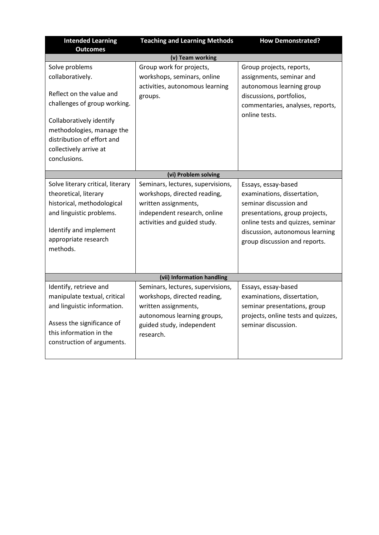| <b>Intended Learning</b>                                                                                                                                                                                                        | <b>Teaching and Learning Methods</b>                                                                                                                               | <b>How Demonstrated?</b>                                                                                                                                                                                                |
|---------------------------------------------------------------------------------------------------------------------------------------------------------------------------------------------------------------------------------|--------------------------------------------------------------------------------------------------------------------------------------------------------------------|-------------------------------------------------------------------------------------------------------------------------------------------------------------------------------------------------------------------------|
| <b>Outcomes</b>                                                                                                                                                                                                                 | (v) Team working                                                                                                                                                   |                                                                                                                                                                                                                         |
| Solve problems<br>collaboratively.<br>Reflect on the value and<br>challenges of group working.<br>Collaboratively identify<br>methodologies, manage the<br>distribution of effort and<br>collectively arrive at<br>conclusions. | Group work for projects,<br>workshops, seminars, online<br>activities, autonomous learning<br>groups.                                                              | Group projects, reports,<br>assignments, seminar and<br>autonomous learning group<br>discussions, portfolios,<br>commentaries, analyses, reports,<br>online tests.                                                      |
|                                                                                                                                                                                                                                 | (vi) Problem solving                                                                                                                                               |                                                                                                                                                                                                                         |
| Solve literary critical, literary<br>theoretical, literary<br>historical, methodological<br>and linguistic problems.<br>Identify and implement<br>appropriate research<br>methods.                                              | Seminars, lectures, supervisions,<br>workshops, directed reading,<br>written assignments,<br>independent research, online<br>activities and guided study.          | Essays, essay-based<br>examinations, dissertation,<br>seminar discussion and<br>presentations, group projects,<br>online tests and quizzes, seminar<br>discussion, autonomous learning<br>group discussion and reports. |
|                                                                                                                                                                                                                                 | (vii) Information handling                                                                                                                                         |                                                                                                                                                                                                                         |
| Identify, retrieve and<br>manipulate textual, critical<br>and linguistic information.<br>Assess the significance of<br>this information in the<br>construction of arguments.                                                    | Seminars, lectures, supervisions,<br>workshops, directed reading,<br>written assignments,<br>autonomous learning groups,<br>guided study, independent<br>research. | Essays, essay-based<br>examinations, dissertation,<br>seminar presentations, group<br>projects, online tests and quizzes,<br>seminar discussion.                                                                        |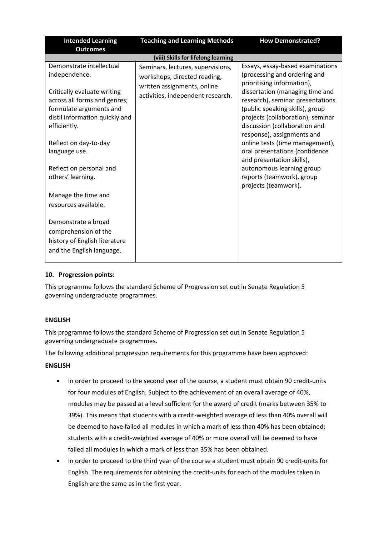| <b>Intended Learning</b>                                                                                                                 | <b>Teaching and Learning Methods</b>                             | <b>How Demonstrated?</b>                                                                                                                                                                                   |
|------------------------------------------------------------------------------------------------------------------------------------------|------------------------------------------------------------------|------------------------------------------------------------------------------------------------------------------------------------------------------------------------------------------------------------|
| <b>Outcomes</b>                                                                                                                          |                                                                  |                                                                                                                                                                                                            |
|                                                                                                                                          | (viii) Skills for lifelong learning                              |                                                                                                                                                                                                            |
| Demonstrate intellectual                                                                                                                 | Seminars, lectures, supervisions,                                | Essays, essay-based examinations                                                                                                                                                                           |
| independence.                                                                                                                            | workshops, directed reading,                                     | (processing and ordering and                                                                                                                                                                               |
| Critically evaluate writing<br>across all forms and genres;<br>formulate arguments and<br>distil information quickly and<br>efficiently. | written assignments, online<br>activities, independent research. | prioritising information),<br>dissertation (managing time and<br>research), seminar presentations<br>(public speaking skills), group<br>projects (collaboration), seminar<br>discussion (collaboration and |
| Reflect on day-to-day                                                                                                                    |                                                                  | response), assignments and<br>online tests (time management),                                                                                                                                              |
| language use.                                                                                                                            |                                                                  | oral presentations (confidence<br>and presentation skills),                                                                                                                                                |
| Reflect on personal and<br>others' learning.                                                                                             |                                                                  | autonomous learning group<br>reports (teamwork), group<br>projects (teamwork).                                                                                                                             |
| Manage the time and                                                                                                                      |                                                                  |                                                                                                                                                                                                            |
| resources available.                                                                                                                     |                                                                  |                                                                                                                                                                                                            |
| Demonstrate a broad<br>comprehension of the<br>history of English literature<br>and the English language.                                |                                                                  |                                                                                                                                                                                                            |

## **10. Progression points:**

This programme follows the standard Scheme of Progression set out in Senate Regulation 5 governing undergraduate programmes.

## **ENGLISH**

This programme follows the standard Scheme of Progression set out in Senate Regulation 5 governing undergraduate programmes.

The following additional progression requirements for this programme have been approved:

#### **ENGLISH**

- In order to proceed to the second year of the course, a student must obtain 90 credit-units for four modules of English. Subject to the achievement of an overall average of 40%, modules may be passed at a level sufficient for the award of credit (marks between 35% to 39%). This means that students with a credit-weighted average of less than 40% overall will be deemed to have failed all modules in which a mark of less than 40% has been obtained; students with a credit-weighted average of 40% or more overall will be deemed to have failed all modules in which a mark of less than 35% has been obtained.
- In order to proceed to the third year of the course a student must obtain 90 credit-units for English. The requirements for obtaining the credit-units for each of the modules taken in English are the same as in the first year.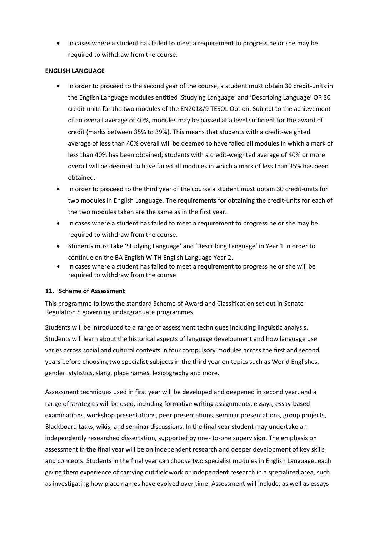• In cases where a student has failed to meet a requirement to progress he or she may be required to withdraw from the course.

#### **ENGLISH LANGUAGE**

- In order to proceed to the second year of the course, a student must obtain 30 credit-units in the English Language modules entitled 'Studying Language' and 'Describing Language' OR 30 credit-units for the two modules of the EN2018/9 TESOL Option. Subject to the achievement of an overall average of 40%, modules may be passed at a level sufficient for the award of credit (marks between 35% to 39%). This means that students with a credit-weighted average of less than 40% overall will be deemed to have failed all modules in which a mark of less than 40% has been obtained; students with a credit-weighted average of 40% or more overall will be deemed to have failed all modules in which a mark of less than 35% has been obtained.
- In order to proceed to the third year of the course a student must obtain 30 credit-units for two modules in English Language. The requirements for obtaining the credit-units for each of the two modules taken are the same as in the first year.
- In cases where a student has failed to meet a requirement to progress he or she may be required to withdraw from the course.
- Students must take 'Studying Language' and 'Describing Language' in Year 1 in order to continue on the BA English WITH English Language Year 2.
- In cases where a student has failed to meet a requirement to progress he or she will be required to withdraw from the course

## **11. Scheme of Assessment**

This programme follows the standard Scheme of Award and Classification set out in Senate Regulation 5 governing undergraduate programmes.

Students will be introduced to a range of assessment techniques including linguistic analysis. Students will learn about the historical aspects of language development and how language use varies across social and cultural contexts in four compulsory modules across the first and second years before choosing two specialist subjects in the third year on topics such as World Englishes, gender, stylistics, slang, place names, lexicography and more.

Assessment techniques used in first year will be developed and deepened in second year, and a range of strategies will be used, including formative writing assignments, essays, essay-based examinations, workshop presentations, peer presentations, seminar presentations, group projects, Blackboard tasks, wikis, and seminar discussions. In the final year student may undertake an independently researched dissertation, supported by one- to-one supervision. The emphasis on assessment in the final year will be on independent research and deeper development of key skills and concepts. Students in the final year can choose two specialist modules in English Language, each giving them experience of carrying out fieldwork or independent research in a specialized area, such as investigating how place names have evolved over time. Assessment will include, as well as essays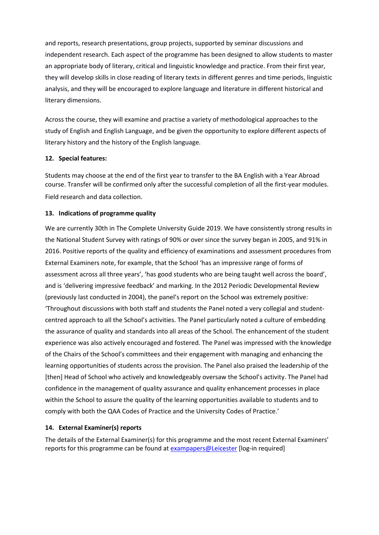and reports, research presentations, group projects, supported by seminar discussions and independent research. Each aspect of the programme has been designed to allow students to master an appropriate body of literary, critical and linguistic knowledge and practice. From their first year, they will develop skills in close reading of literary texts in different genres and time periods, linguistic analysis, and they will be encouraged to explore language and literature in different historical and literary dimensions.

Across the course, they will examine and practise a variety of methodological approaches to the study of English and English Language, and be given the opportunity to explore different aspects of literary history and the history of the English language.

#### **12. Special features:**

Students may choose at the end of the first year to transfer to the BA English with a Year Abroad course. Transfer will be confirmed only after the successful completion of all the first-year modules. Field research and data collection.

#### **13. Indications of programme quality**

We are currently 30th in The Complete University Guide 2019. We have consistently strong results in the National Student Survey with ratings of 90% or over since the survey began in 2005, and 91% in 2016. Positive reports of the quality and efficiency of examinations and assessment procedures from External Examiners note, for example, that the School 'has an impressive range of forms of assessment across all three years', 'has good students who are being taught well across the board', and is 'delivering impressive feedback' and marking. In the 2012 Periodic Developmental Review (previously last conducted in 2004), the panel's report on the School was extremely positive: 'Throughout discussions with both staff and students the Panel noted a very collegial and studentcentred approach to all the School's activities. The Panel particularly noted a culture of embedding the assurance of quality and standards into all areas of the School. The enhancement of the student experience was also actively encouraged and fostered. The Panel was impressed with the knowledge of the Chairs of the School's committees and their engagement with managing and enhancing the learning opportunities of students across the provision. The Panel also praised the leadership of the [then] Head of School who actively and knowledgeably oversaw the School's activity. The Panel had confidence in the management of quality assurance and quality enhancement processes in place within the School to assure the quality of the learning opportunities available to students and to comply with both the QAA Codes of Practice and the University Codes of Practice.'

#### **14. External Examiner(s) reports**

The details of the External Examiner(s) for this programme and the most recent External Examiners' reports for this programme can be found at [exampapers@Leicester](https://exampapers.le.ac.uk/xmlui/) [log-in required]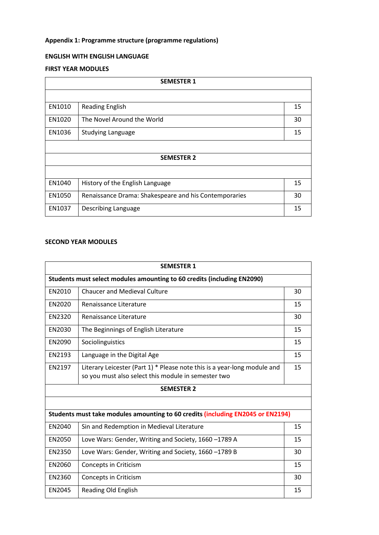# **Appendix 1: Programme structure (programme regulations)**

# **ENGLISH WITH ENGLISH LANGUAGE**

#### **FIRST YEAR MODULES**

| <b>SEMESTER 1</b> |                                                       |    |
|-------------------|-------------------------------------------------------|----|
|                   |                                                       |    |
| EN1010            | <b>Reading English</b>                                | 15 |
| EN1020            | The Novel Around the World                            | 30 |
| EN1036            | <b>Studying Language</b>                              | 15 |
|                   |                                                       |    |
| <b>SEMESTER 2</b> |                                                       |    |
|                   |                                                       |    |
| EN1040            | History of the English Language                       | 15 |
| EN1050            | Renaissance Drama: Shakespeare and his Contemporaries | 30 |
| EN1037            | Describing Language                                   | 15 |

## **SECOND YEAR MODULES**

| <b>SEMESTER 1</b> |                                                                                                                                 |    |
|-------------------|---------------------------------------------------------------------------------------------------------------------------------|----|
|                   | Students must select modules amounting to 60 credits (including EN2090)                                                         |    |
| EN2010            | <b>Chaucer and Medieval Culture</b>                                                                                             | 30 |
| EN2020            | Renaissance Literature                                                                                                          | 15 |
| EN2320            | Renaissance Literature                                                                                                          | 30 |
| EN2030            | The Beginnings of English Literature                                                                                            | 15 |
| EN2090            | Sociolinguistics                                                                                                                | 15 |
| EN2193            | Language in the Digital Age                                                                                                     | 15 |
| EN2197            | Literary Leicester (Part 1) * Please note this is a year-long module and<br>so you must also select this module in semester two | 15 |
|                   |                                                                                                                                 |    |
|                   | <b>SEMESTER 2</b>                                                                                                               |    |
|                   |                                                                                                                                 |    |
|                   | Students must take modules amounting to 60 credits (including EN2045 or EN2194)                                                 |    |
| EN2040            | Sin and Redemption in Medieval Literature                                                                                       | 15 |
| EN2050            | Love Wars: Gender, Writing and Society, 1660 -1789 A                                                                            | 15 |
| EN2350            | Love Wars: Gender, Writing and Society, 1660 -1789 B                                                                            | 30 |
| EN2060            | <b>Concepts in Criticism</b>                                                                                                    | 15 |
| EN2360            | Concepts in Criticism                                                                                                           | 30 |
| EN2045            | Reading Old English                                                                                                             | 15 |